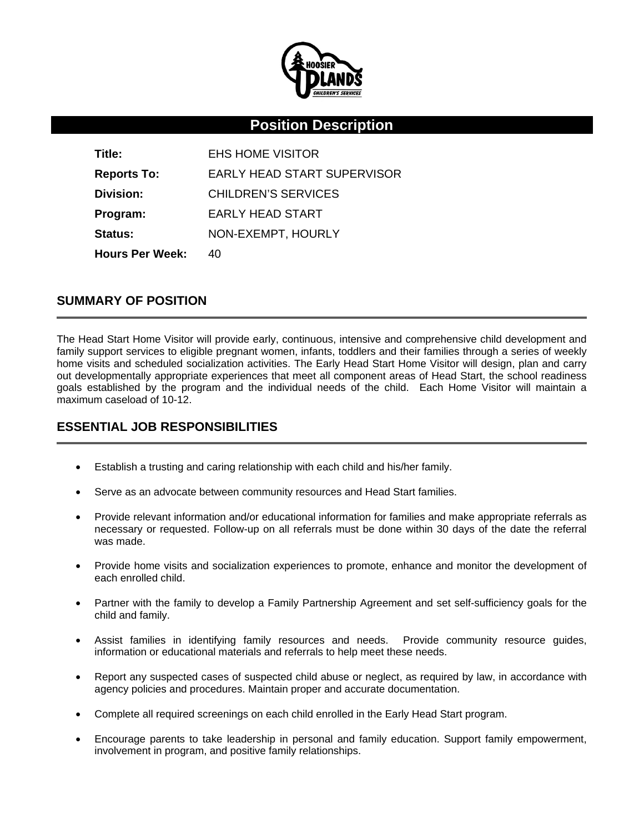

# **Position Description**

**Title:** EHS HOME VISITOR **Reports To:** EARLY HEAD START SUPERVISOR **Division:** CHILDREN'S SERVICES **Program:** EARLY HEAD START Status: NON-EXEMPT, HOURLY **Hours Per Week: 40** 

#### **SUMMARY OF POSITION**

The Head Start Home Visitor will provide early, continuous, intensive and comprehensive child development and family support services to eligible pregnant women, infants, toddlers and their families through a series of weekly home visits and scheduled socialization activities. The Early Head Start Home Visitor will design, plan and carry out developmentally appropriate experiences that meet all component areas of Head Start, the school readiness goals established by the program and the individual needs of the child. Each Home Visitor will maintain a maximum caseload of 10-12.

### **ESSENTIAL JOB RESPONSIBILITIES**

- Establish a trusting and caring relationship with each child and his/her family.
- Serve as an advocate between community resources and Head Start families.
- Provide relevant information and/or educational information for families and make appropriate referrals as necessary or requested. Follow-up on all referrals must be done within 30 days of the date the referral was made.
- Provide home visits and socialization experiences to promote, enhance and monitor the development of each enrolled child.
- Partner with the family to develop a Family Partnership Agreement and set self-sufficiency goals for the child and family.
- Assist families in identifying family resources and needs. Provide community resource guides, information or educational materials and referrals to help meet these needs.
- Report any suspected cases of suspected child abuse or neglect, as required by law, in accordance with agency policies and procedures. Maintain proper and accurate documentation.
- Complete all required screenings on each child enrolled in the Early Head Start program.
- Encourage parents to take leadership in personal and family education. Support family empowerment, involvement in program, and positive family relationships.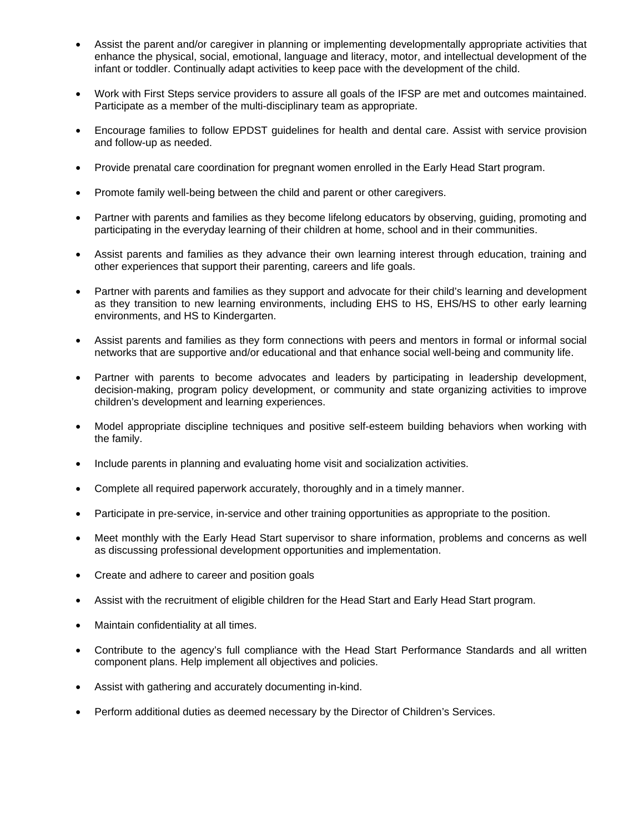- Assist the parent and/or caregiver in planning or implementing developmentally appropriate activities that enhance the physical, social, emotional, language and literacy, motor, and intellectual development of the infant or toddler. Continually adapt activities to keep pace with the development of the child.
- Work with First Steps service providers to assure all goals of the IFSP are met and outcomes maintained. Participate as a member of the multi-disciplinary team as appropriate.
- Encourage families to follow EPDST guidelines for health and dental care. Assist with service provision and follow-up as needed.
- Provide prenatal care coordination for pregnant women enrolled in the Early Head Start program.
- Promote family well-being between the child and parent or other caregivers.
- Partner with parents and families as they become lifelong educators by observing, guiding, promoting and participating in the everyday learning of their children at home, school and in their communities.
- Assist parents and families as they advance their own learning interest through education, training and other experiences that support their parenting, careers and life goals.
- Partner with parents and families as they support and advocate for their child's learning and development as they transition to new learning environments, including EHS to HS, EHS/HS to other early learning environments, and HS to Kindergarten.
- Assist parents and families as they form connections with peers and mentors in formal or informal social networks that are supportive and/or educational and that enhance social well-being and community life.
- Partner with parents to become advocates and leaders by participating in leadership development, decision-making, program policy development, or community and state organizing activities to improve children's development and learning experiences.
- Model appropriate discipline techniques and positive self-esteem building behaviors when working with the family.
- Include parents in planning and evaluating home visit and socialization activities.
- Complete all required paperwork accurately, thoroughly and in a timely manner.
- Participate in pre-service, in-service and other training opportunities as appropriate to the position.
- Meet monthly with the Early Head Start supervisor to share information, problems and concerns as well as discussing professional development opportunities and implementation.
- Create and adhere to career and position goals
- Assist with the recruitment of eligible children for the Head Start and Early Head Start program.
- Maintain confidentiality at all times.
- Contribute to the agency's full compliance with the Head Start Performance Standards and all written component plans. Help implement all objectives and policies.
- Assist with gathering and accurately documenting in-kind.
- Perform additional duties as deemed necessary by the Director of Children's Services.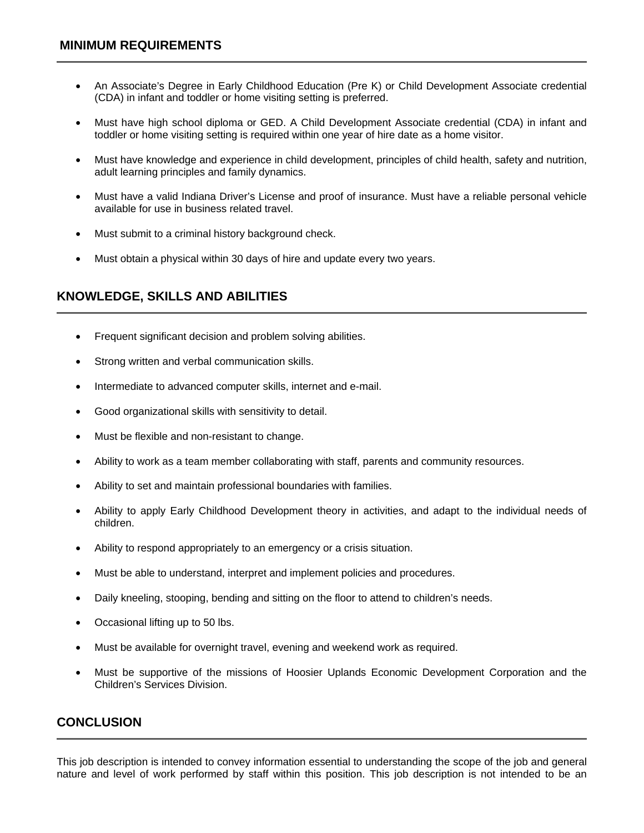- An Associate's Degree in Early Childhood Education (Pre K) or Child Development Associate credential (CDA) in infant and toddler or home visiting setting is preferred.
- Must have high school diploma or GED. A Child Development Associate credential (CDA) in infant and toddler or home visiting setting is required within one year of hire date as a home visitor.
- Must have knowledge and experience in child development, principles of child health, safety and nutrition, adult learning principles and family dynamics.
- Must have a valid Indiana Driver's License and proof of insurance. Must have a reliable personal vehicle available for use in business related travel.
- Must submit to a criminal history background check.
- Must obtain a physical within 30 days of hire and update every two years.

### **KNOWLEDGE, SKILLS AND ABILITIES**

- Frequent significant decision and problem solving abilities.
- Strong written and verbal communication skills.
- Intermediate to advanced computer skills, internet and e-mail.
- Good organizational skills with sensitivity to detail.
- Must be flexible and non-resistant to change.
- Ability to work as a team member collaborating with staff, parents and community resources.
- Ability to set and maintain professional boundaries with families.
- Ability to apply Early Childhood Development theory in activities, and adapt to the individual needs of children.
- Ability to respond appropriately to an emergency or a crisis situation.
- Must be able to understand, interpret and implement policies and procedures.
- Daily kneeling, stooping, bending and sitting on the floor to attend to children's needs.
- Occasional lifting up to 50 lbs.
- Must be available for overnight travel, evening and weekend work as required.
- Must be supportive of the missions of Hoosier Uplands Economic Development Corporation and the Children's Services Division.

#### **CONCLUSION**

This job description is intended to convey information essential to understanding the scope of the job and general nature and level of work performed by staff within this position. This job description is not intended to be an